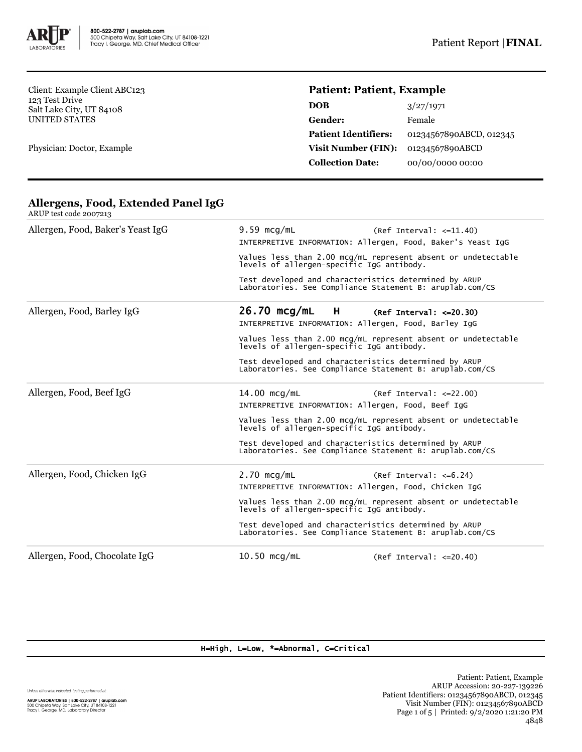

Client: Example Client ABC123 123 Test Drive Salt Lake City, UT 84108 UNITED STATES

Physician: Doctor, Example

# **Patient: Patient, Example**

| <b>DOB</b>                  | 3/27/1971               |
|-----------------------------|-------------------------|
| <b>Gender:</b>              | Female                  |
| <b>Patient Identifiers:</b> | 01234567890ABCD, 012345 |
| <b>Visit Number (FIN):</b>  | 01234567890ABCD         |
| <b>Collection Date:</b>     | 00/00/0000 00:00        |
|                             |                         |

| Allergen, Food, Baker's Yeast IgG | $9.59$ mcg/mL<br>(Ref Interval: <=11.40)<br>INTERPRETIVE INFORMATION: Allergen, Food, Baker's Yeast IgG<br>Values less than 2.00 mcg/mL represent absent or undetectable<br>levels of allergen-specific IgG antibody.<br>Test developed and characteristics determined by ARUP<br>Laboratories. See Compliance Statement B: aruplab.com/CS             |  |
|-----------------------------------|--------------------------------------------------------------------------------------------------------------------------------------------------------------------------------------------------------------------------------------------------------------------------------------------------------------------------------------------------------|--|
| Allergen, Food, Barley IgG        | $26.70$ mcg/mL<br>$H$ and $H$<br>(Ref Interval: $\leq$ =20.30)<br>INTERPRETIVE INFORMATION: Allergen, Food, Barley IgG<br>Values less than 2.00 mcg/mL represent absent or undetectable levels of allergen-specific IgG antibody.<br>Test developed and characteristics determined by ARUP<br>Laboratories. See Compliance Statement B: aruplab.com/CS |  |
| Allergen, Food, Beef IgG          | $14.00$ mcg/mL<br>$(Ref Interval: <=22.00)$<br>INTERPRETIVE INFORMATION: Allergen, Food, Beef IgG<br>Values less than 2.00 mcg/mL represent absent or undetectable<br>levels of allergen-specific IgG antibody.<br>Test developed and characteristics determined by ARUP<br>Laboratories. See Compliance Statement B: aruplab.com/CS                   |  |
| Allergen, Food, Chicken IgG       | $2.70$ mcg/mL<br>$(Ref Interval: <=6.24)$<br>INTERPRETIVE INFORMATION: Allergen, Food, Chicken IgG<br>Values less than 2.00 mcg/mL represent absent or undetectable<br>levels of allergen-specific IgG antibody.<br>Test developed and characteristics determined by ARUP<br>Laboratories. See Compliance Statement B: aruplab.com/CS                  |  |
| Allergen, Food, Chocolate IgG     | $10.50$ mcg/mL<br>$(Ref Interval: <=20.40)$                                                                                                                                                                                                                                                                                                            |  |

#### **Allergens, Food, Extended Panel IgG** ARUP test code 2007213

#### H=High, L=Low, \*=Abnormal, C=Critical

Unless otherwise indicated, testing performed at: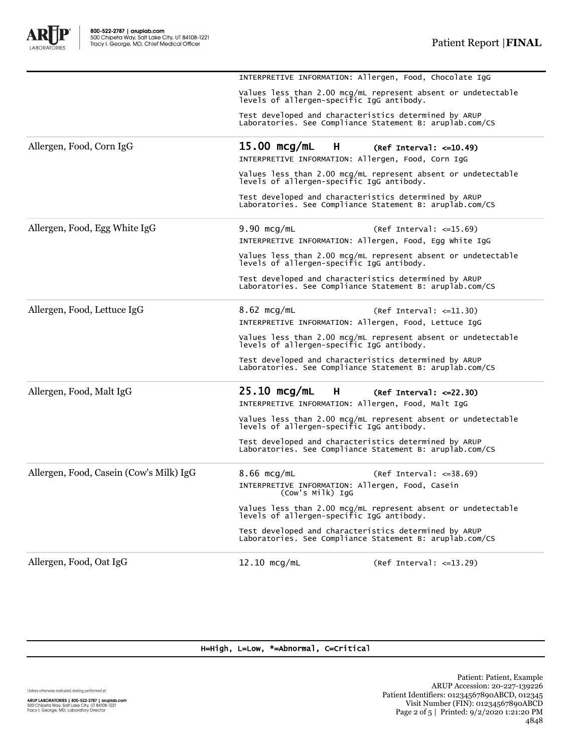INTERPRETIVE INFORMATION: Allergen, Food, Chocolate IgG

A

|                                         | Values less than 2.00 mcg/mL represent absent or undetectable<br>levels of allergen-specific IgG antibody.        |                                                                                                            |  |  |
|-----------------------------------------|-------------------------------------------------------------------------------------------------------------------|------------------------------------------------------------------------------------------------------------|--|--|
|                                         | Test developed and characteristics determined by ARUP<br>Laboratories. See Compliance Statement B: aruplab.com/CS |                                                                                                            |  |  |
| Allergen, Food, Corn IgG                | $15.00$ mcg/mL<br>H.<br>INTERPRETIVE INFORMATION: Allergen, Food, Corn IgG                                        | $(Ref Interval: <=10.49)$                                                                                  |  |  |
|                                         |                                                                                                                   | Values less than 2.00 mcg/mL represent absent or undetectable<br>levels of allergen-specific IgG antibody. |  |  |
|                                         | Test developed and characteristics determined by ARUP<br>Laboratories. See Compliance Statement B: aruplab.com/CS |                                                                                                            |  |  |
| Allergen, Food, Egg White IgG           | $9.90$ mcg/mL                                                                                                     | $(Ref Interval: <=15.69)$                                                                                  |  |  |
|                                         | INTERPRETIVE INFORMATION: Allergen, Food, Egg White IgG                                                           |                                                                                                            |  |  |
|                                         |                                                                                                                   | Values less than 2.00 mcg/mL represent absent or undetectable<br>levels of allergen-specific IgG antibody. |  |  |
|                                         | Test developed and characteristics determined by ARUP<br>Laboratories. See Compliance Statement B: aruplab.com/CS |                                                                                                            |  |  |
| Allergen, Food, Lettuce IgG             | $8.62$ mcg/mL<br>INTERPRETIVE INFORMATION: Allergen, Food, Lettuce IgG                                            | $(Ref Interval: <=11.30)$                                                                                  |  |  |
|                                         |                                                                                                                   | Values less than 2.00 mcg/mL represent absent or undetectable<br>levels of allergen-specific IgG antibody. |  |  |
|                                         | Test developed and characteristics determined by ARUP<br>Laboratories. See Compliance Statement B: aruplab.com/CS |                                                                                                            |  |  |
| Allergen, Food, Malt IgG                | $25.10$ mcg/mL<br>Н.<br>INTERPRETIVE INFORMATION: Allergen, Food, Malt IgG                                        | $(Ref Interval: < = 22.30)$                                                                                |  |  |
|                                         | levels of allergen-specific IgG antibody.                                                                         | Values less than 2.00 mcg/mL represent absent or undetectable                                              |  |  |
|                                         | Test developed and characteristics determined by ARUP<br>Laboratories. See Compliance Statement B: aruplab.com/CS |                                                                                                            |  |  |
| Allergen, Food, Casein (Cow's Milk) IgG | $8.66$ mcg/mL                                                                                                     | $(Ref Interval: < = 38.69)$                                                                                |  |  |
|                                         | INTERPRETIVE INFORMATION: Allergen, Food, Casein<br>(Cow's Milk) IgG                                              |                                                                                                            |  |  |
|                                         |                                                                                                                   | Values less than 2.00 mcg/mL represent absent or undetectable<br>levels of allergen-specific IgG antibody. |  |  |
|                                         | Test developed and characteristics determined by ARUP<br>Laboratories. See Compliance Statement B: aruplab.com/CS |                                                                                                            |  |  |
| Allergen, Food, Oat IgG                 | $12.10$ mcg/mL                                                                                                    | $(Ref Interval: <=13.29)$                                                                                  |  |  |

### H=High, L=Low, \*=Abnormal, C=Critical

Unless otherwise indicated, testing performed at:

Patient: Patient, Example ARUP Accession: 20-227-139226 Patient Identifiers: 01234567890ABCD, 012345 Visit Number (FIN): 01234567890ABCD Page 2 of 5 | Printed: 9/2/2020 1:21:20 PM 4848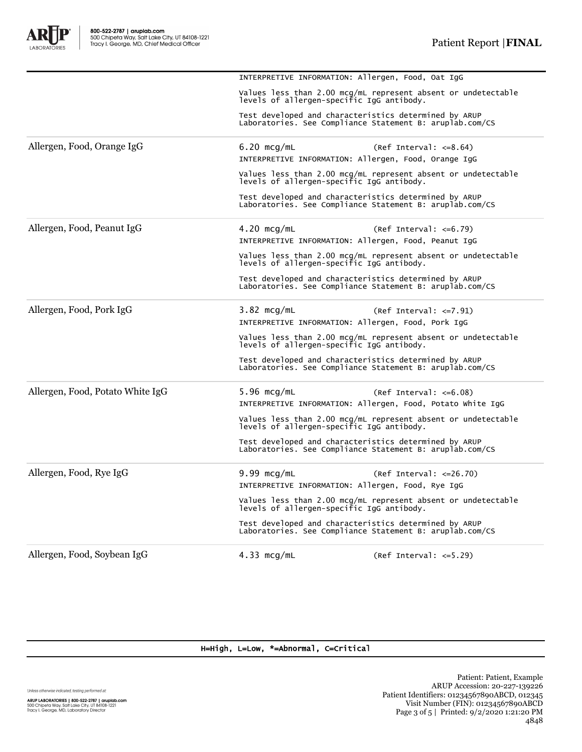A

**ORATORIES** 

|                                  | Values less than 2.00 mcg/mL represent absent or undetectable<br>levels of allergen-specific IgG antibody.        |                                                                                                                   |  |
|----------------------------------|-------------------------------------------------------------------------------------------------------------------|-------------------------------------------------------------------------------------------------------------------|--|
|                                  | Test developed and characteristics determined by ARUP<br>Laboratories. See Compliance Statement B: aruplab.com/CS |                                                                                                                   |  |
| Allergen, Food, Orange IgG       | $6.20$ mcg/mL                                                                                                     | $(Ref Interval: <=8.64)$                                                                                          |  |
|                                  | INTERPRETIVE INFORMATION: Allergen, Food, Orange IgG                                                              |                                                                                                                   |  |
|                                  |                                                                                                                   | Values less than 2.00 mcg/mL represent absent or undetectable<br>levels of allergen-specific IgG antibody.        |  |
|                                  | Test developed and characteristics determined by ARUP                                                             | Laboratories. See Compliance Statement B: aruplab.com/CS                                                          |  |
| Allergen, Food, Peanut IgG       | $4.20$ mcg/mL                                                                                                     | $(Ref Interval: <=6.79)$                                                                                          |  |
|                                  | INTERPRETIVE INFORMATION: Allergen, Food, Peanut IgG                                                              |                                                                                                                   |  |
|                                  |                                                                                                                   | Values less than 2.00 mcg/mL represent absent or undetectable<br>levels of allergen-specific IgG antibody.        |  |
|                                  | Test developed and characteristics determined by ARUP                                                             | Laboratories. See Compliance Statement B: aruplab.com/CS                                                          |  |
| Allergen, Food, Pork IgG         | 3.82 mcg/mL                                                                                                       | $(Ref Interval: < = 7.91)$                                                                                        |  |
|                                  | INTERPRETIVE INFORMATION: Allergen, Food, Pork IgG                                                                |                                                                                                                   |  |
|                                  |                                                                                                                   | Values less than 2.00 mcg/mL represent absent or undetectable<br>levels of allergen-specific IgG antibody.        |  |
|                                  | Test developed and characteristics determined by ARUP                                                             | Laboratories. See Compliance Statement B: aruplab.com/CS                                                          |  |
| Allergen, Food, Potato White IgG | $5.96$ mcg/mL                                                                                                     | $(Ref Interval: <=6.08)$                                                                                          |  |
|                                  |                                                                                                                   | INTERPRETIVE INFORMATION: Allergen, Food, Potato White IgG                                                        |  |
|                                  | levels of allergen-specific IgG antibody.                                                                         | Values less than 2.00 mcg/mL represent absent or undetectable                                                     |  |
|                                  | Test developed and characteristics determined by ARUP                                                             | Laboratories. See Compliance Statement B: aruplab.com/CS                                                          |  |
| Allergen, Food, Rye IgG          | $9.99$ mcg/mL                                                                                                     | $(Ref Interval: <= 26.70)$                                                                                        |  |
|                                  | INTERPRETIVE INFORMATION: Allergen, Food, Rye IgG                                                                 |                                                                                                                   |  |
|                                  |                                                                                                                   | Values less than 2.00 mcg/mL represent absent or undetectable<br>levels of allergen-specific IgG antibody.        |  |
|                                  |                                                                                                                   | Test developed and characteristics determined by ARUP<br>Laboratories. See Compliance Statement B: aruplab.com/CS |  |
| Allergen, Food, Soybean IgG      | $4.33 \text{ mcq/mL}$                                                                                             | $(Ref Interval: < =5.29)$                                                                                         |  |

INTERPRETIVE INFORMATION: Allergen, Food, Oat IgG

### H=High, L=Low, \*=Abnormal, C=Critical

Unless otherwise indicated, testing performed at:

**ARUP LABORATORIES | 800-522-2787 | aruplab.com**<br>500 Chipeta Way, Salt Lake City, UT 84108-1221<br>Tracy I. George, MD, Laboratory Director

Patient: Patient, Example ARUP Accession: 20-227-139226 Patient Identifiers: 01234567890ABCD, 012345 Visit Number (FIN): 01234567890ABCD Page 3 of 5 | Printed: 9/2/2020 1:21:20 PM 4848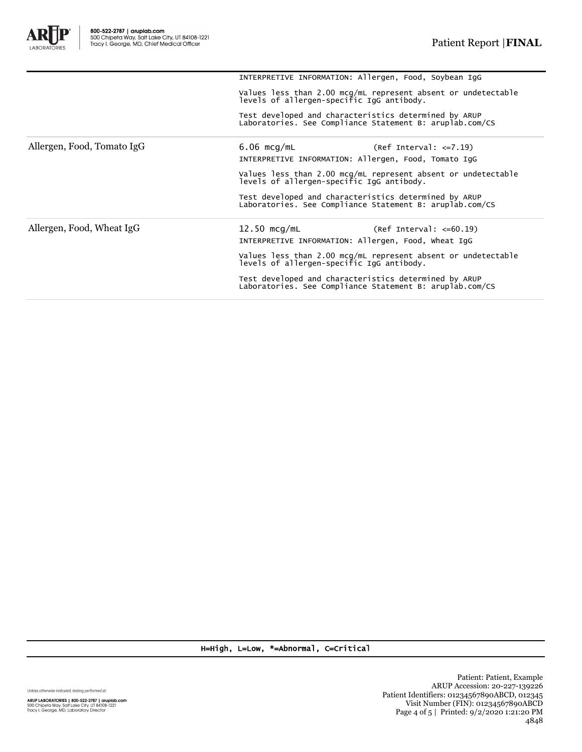

H=High, L=Low, \*=Abnormal, C=Critical

Unless otherwise indicated, testing performed at:

**ARUP LABORATORIES | 800-522-2787 | aruplab.com**<br>500 Chipeta Way, Salt Lake City, UT 84108-1221<br>Tracy I. George, MD, Laboratory Director

Patient: Patient, Example ARUP Accession: 20-227-139226 Patient Identifiers: 01234567890ABCD, 012345 Visit Number (FIN): 01234567890ABCD Page 4 of 5 | Printed: 9/2/2020 1:21:20 PM 4848